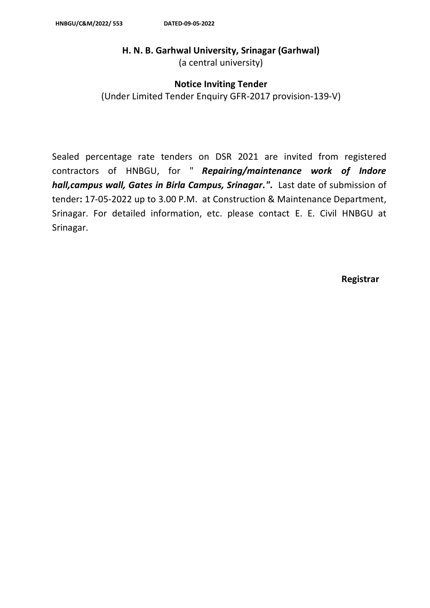# **H. N. B. Garhwal University, Srinagar (Garhwal)**

(a central university)

## **Notice Inviting Tender**

(Under Limited Tender Enquiry GFR-2017 provision-139-V)

Sealed percentage rate tenders on DSR 2021 are invited from registered contractors of HNBGU, for " *Repairing/maintenance work of Indore hall,campus wall, Gates in Birla Campus, Srinagar."***.** Last date of submission of tender**:** 17-05-2022 up to 3.00 P.M. at Construction & Maintenance Department, Srinagar. For detailed information, etc. please contact E. E. Civil HNBGU at Srinagar.

**Registrar**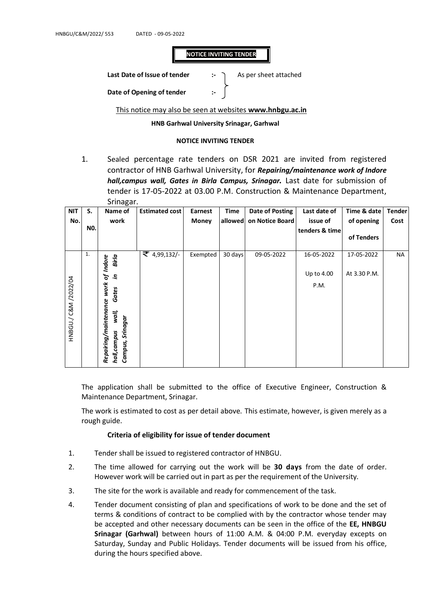## **NOTICE INVITING TENDER**

**Last Date of Issue of tender :-** As per sheet attached

**Date of Opening of tender** 

This notice may also be seen at websites **www.hnbgu.ac.in**

### **HNB Garhwal University Srinagar, Garhwal**

#### **NOTICE INVITING TENDER**

1. Sealed percentage rate tenders on DSR 2021 are invited from registered contractor of HNB Garhwal University, for *Repairing/maintenance work of Indore hall,campus wall, Gates in Birla Campus, Srinagar.* Last date for submission of tender is 17-05-2022 at 03.00 P.M. Construction & Maintenance Department, Srinagar.

| <b>NIT</b>   | S.  | ັ<br>Name of                                              | <b>Estimated cost</b> | Earnest      | Time    | <b>Date of Posting</b> | Last date of   | Time & date  | <b>Tender</b> |
|--------------|-----|-----------------------------------------------------------|-----------------------|--------------|---------|------------------------|----------------|--------------|---------------|
| No.          |     | work                                                      |                       | <b>Money</b> | allowed | on Notice Board        | issue of       | of opening   | Cost          |
|              | NO. |                                                           |                       |              |         |                        | tenders & time |              |               |
|              |     |                                                           |                       |              |         |                        |                | of Tenders   |               |
|              | 1.  | Birla<br><b>Indore</b>                                    | ₹ 4,99,132/-          | Exempted     | 30 days | 09-05-2022             | 16-05-2022     | 17-05-2022   | NA            |
|              |     | ъ<br>э.                                                   |                       |              |         |                        | Up to 4.00     | At 3.30 P.M. |               |
|              |     | work                                                      |                       |              |         |                        | P.M.           |              |               |
| C&M /2022/04 |     | Gates                                                     |                       |              |         |                        |                |              |               |
| HNBGU./      |     | wall,                                                     |                       |              |         |                        |                |              |               |
|              |     | Repairing/maintenance<br>Campus, Srinagar<br>hall, campus |                       |              |         |                        |                |              |               |

The application shall be submitted to the office of Executive Engineer, Construction & Maintenance Department, Srinagar.

The work is estimated to cost as per detail above. This estimate, however, is given merely as a rough guide.

### **Criteria of eligibility for issue of tender document**

- 1. Tender shall be issued to registered contractor of HNBGU.
- 2. The time allowed for carrying out the work will be **30 days** from the date of order. However work will be carried out in part as per the requirement of the University.
- 3. The site for the work is available and ready for commencement of the task.
- 4. Tender document consisting of plan and specifications of work to be done and the set of terms & conditions of contract to be complied with by the contractor whose tender may be accepted and other necessary documents can be seen in the office of the **EE, HNBGU Srinagar (Garhwal)** between hours of 11:00 A.M. & 04:00 P.M. everyday excepts on Saturday, Sunday and Public Holidays. Tender documents will be issued from his office, during the hours specified above.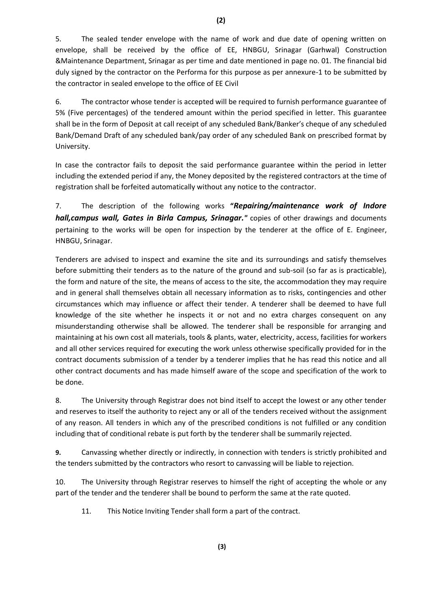5. The sealed tender envelope with the name of work and due date of opening written on envelope, shall be received by the office of EE, HNBGU, Srinagar (Garhwal) Construction &Maintenance Department, Srinagar as per time and date mentioned in page no. 01. The financial bid duly signed by the contractor on the Performa for this purpose as per annexure-1 to be submitted by the contractor in sealed envelope to the office of EE Civil

6. The contractor whose tender is accepted will be required to furnish performance guarantee of 5% (Five percentages) of the tendered amount within the period specified in letter. This guarantee shall be in the form of Deposit at call receipt of any scheduled Bank/Banker's cheque of any scheduled Bank/Demand Draft of any scheduled bank/pay order of any scheduled Bank on prescribed format by University.

In case the contractor fails to deposit the said performance guarantee within the period in letter including the extended period if any, the Money deposited by the registered contractors at the time of registration shall be forfeited automatically without any notice to the contractor.

7. The description of the following works **"***Repairing/maintenance work of Indore hall,campus wall, Gates in Birla Campus, Srinagar."* copies of other drawings and documents pertaining to the works will be open for inspection by the tenderer at the office of E. Engineer, HNBGU, Srinagar.

Tenderers are advised to inspect and examine the site and its surroundings and satisfy themselves before submitting their tenders as to the nature of the ground and sub-soil (so far as is practicable), the form and nature of the site, the means of access to the site, the accommodation they may require and in general shall themselves obtain all necessary information as to risks, contingencies and other circumstances which may influence or affect their tender. A tenderer shall be deemed to have full knowledge of the site whether he inspects it or not and no extra charges consequent on any misunderstanding otherwise shall be allowed. The tenderer shall be responsible for arranging and maintaining at his own cost all materials, tools & plants, water, electricity, access, facilities for workers and all other services required for executing the work unless otherwise specifically provided for in the contract documents submission of a tender by a tenderer implies that he has read this notice and all other contract documents and has made himself aware of the scope and specification of the work to be done.

8. The University through Registrar does not bind itself to accept the lowest or any other tender and reserves to itself the authority to reject any or all of the tenders received without the assignment of any reason. All tenders in which any of the prescribed conditions is not fulfilled or any condition including that of conditional rebate is put forth by the tenderer shall be summarily rejected.

**9.** Canvassing whether directly or indirectly, in connection with tenders is strictly prohibited and the tenders submitted by the contractors who resort to canvassing will be liable to rejection.

10. The University through Registrar reserves to himself the right of accepting the whole or any part of the tender and the tenderer shall be bound to perform the same at the rate quoted.

11. This Notice Inviting Tender shall form a part of the contract.

**(2)**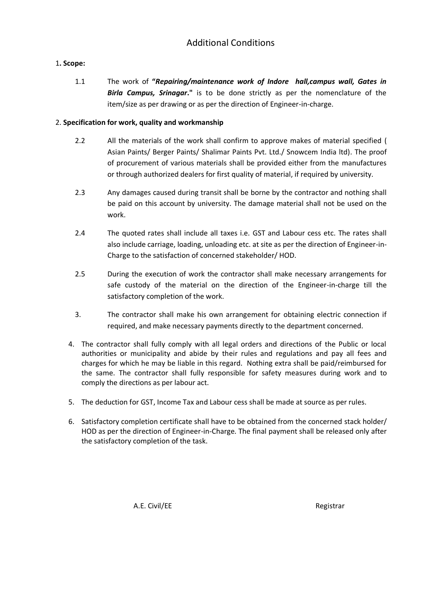# Additional Conditions

## 1**. Scope:**

1.1 The work of **"***Repairing/maintenance work of Indore hall,campus wall, Gates in Birla Campus, Srinagar***."** is to be done strictly as per the nomenclature of the item/size as per drawing or as per the direction of Engineer-in-charge.

## 2. **Specification for work, quality and workmanship**

- 2.2 All the materials of the work shall confirm to approve makes of material specified ( Asian Paints/ Berger Paints/ Shalimar Paints Pvt. Ltd./ Snowcem India ltd). The proof of procurement of various materials shall be provided either from the manufactures or through authorized dealers for first quality of material, if required by university.
- 2.3 Any damages caused during transit shall be borne by the contractor and nothing shall be paid on this account by university. The damage material shall not be used on the work.
- 2.4 The quoted rates shall include all taxes i.e. GST and Labour cess etc. The rates shall also include carriage, loading, unloading etc. at site as per the direction of Engineer-in-Charge to the satisfaction of concerned stakeholder/ HOD.
- 2.5 During the execution of work the contractor shall make necessary arrangements for safe custody of the material on the direction of the Engineer-in-charge till the satisfactory completion of the work.
- 3. The contractor shall make his own arrangement for obtaining electric connection if required, and make necessary payments directly to the department concerned.
- 4. The contractor shall fully comply with all legal orders and directions of the Public or local authorities or municipality and abide by their rules and regulations and pay all fees and charges for which he may be liable in this regard. Nothing extra shall be paid/reimbursed for the same. The contractor shall fully responsible for safety measures during work and to comply the directions as per labour act.
- 5. The deduction for GST, Income Tax and Labour cess shall be made at source as per rules.
- 6. Satisfactory completion certificate shall have to be obtained from the concerned stack holder/ HOD as per the direction of Engineer-in-Charge. The final payment shall be released only after the satisfactory completion of the task.

A.E. Civil/EE Registrar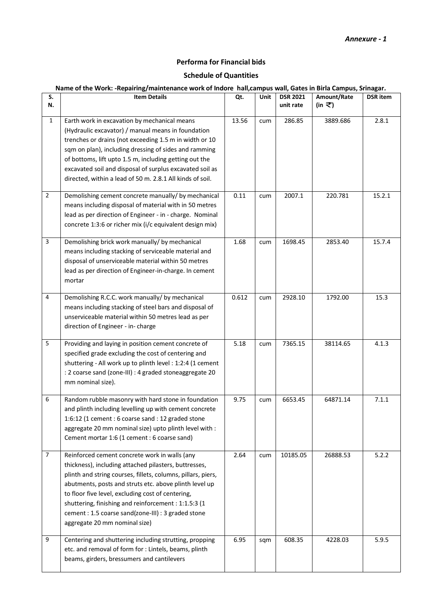### *Annexure - 1*

## **Performa for Financial bids**

## **Schedule of Quantities**

### **Name of the Work: -Repairing/maintenance work of Indore hall,campus wall, Gates in Birla Campus, Srinagar***.*

| S.<br>N.       | <b>Item Details</b>                                                                                                                                                                                                                                                                                                                                                                                                                 | Qt.   | Unit | <b>DSR 2021</b><br>unit rate | Amount/Rate<br>(in ₹) | <b>DSR</b> item |
|----------------|-------------------------------------------------------------------------------------------------------------------------------------------------------------------------------------------------------------------------------------------------------------------------------------------------------------------------------------------------------------------------------------------------------------------------------------|-------|------|------------------------------|-----------------------|-----------------|
| $\mathbf{1}$   | Earth work in excavation by mechanical means<br>(Hydraulic excavator) / manual means in foundation<br>trenches or drains (not exceeding 1.5 m in width or 10<br>sqm on plan), including dressing of sides and ramming<br>of bottoms, lift upto 1.5 m, including getting out the<br>excavated soil and disposal of surplus excavated soil as<br>directed, within a lead of 50 m. 2.8.1 All kinds of soil.                            | 13.56 | cum  | 286.85                       | 3889.686              | 2.8.1           |
| $\overline{2}$ | Demolishing cement concrete manually/ by mechanical<br>means including disposal of material with in 50 metres<br>lead as per direction of Engineer - in - charge. Nominal<br>concrete 1:3:6 or richer mix (i/c equivalent design mix)                                                                                                                                                                                               | 0.11  | cum  | 2007.1                       | 220.781               | 15.2.1          |
| 3              | Demolishing brick work manually/ by mechanical<br>means including stacking of serviceable material and<br>disposal of unserviceable material within 50 metres<br>lead as per direction of Engineer-in-charge. In cement<br>mortar                                                                                                                                                                                                   | 1.68  | cum  | 1698.45                      | 2853.40               | 15.7.4          |
| $\overline{4}$ | Demolishing R.C.C. work manually/ by mechanical<br>means including stacking of steel bars and disposal of<br>unserviceable material within 50 metres lead as per<br>direction of Engineer - in- charge                                                                                                                                                                                                                              | 0.612 | cum  | 2928.10                      | 1792.00               | 15.3            |
| 5              | Providing and laying in position cement concrete of<br>specified grade excluding the cost of centering and<br>shuttering - All work up to plinth level : 1:2:4 (1 cement<br>: 2 coarse sand (zone-III) : 4 graded stoneaggregate 20<br>mm nominal size).                                                                                                                                                                            | 5.18  | cum  | 7365.15                      | 38114.65              | 4.1.3           |
| 6              | Random rubble masonry with hard stone in foundation<br>and plinth including levelling up with cement concrete<br>1:6:12 (1 cement : 6 coarse sand : 12 graded stone<br>aggregate 20 mm nominal size) upto plinth level with :<br>Cement mortar 1:6 (1 cement : 6 coarse sand)                                                                                                                                                       | 9.75  | cum  | 6653.45                      | 64871.14              | 7.1.1           |
| $\overline{7}$ | Reinforced cement concrete work in walls (any<br>thickness), including attached pilasters, buttresses,<br>plinth and string courses, fillets, columns, pillars, piers,<br>abutments, posts and struts etc. above plinth level up<br>to floor five level, excluding cost of centering,<br>shuttering, finishing and reinforcement : 1:1.5:3 (1<br>cement: 1.5 coarse sand(zone-III): 3 graded stone<br>aggregate 20 mm nominal size) | 2.64  | cum  | 10185.05                     | 26888.53              | 5.2.2           |
| 9              | Centering and shuttering including strutting, propping<br>etc. and removal of form for : Lintels, beams, plinth<br>beams, girders, bressumers and cantilevers                                                                                                                                                                                                                                                                       | 6.95  | sqm  | 608.35                       | 4228.03               | 5.9.5           |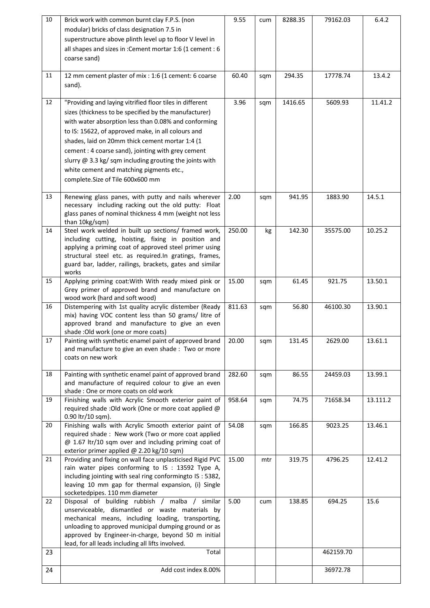| 10 | Brick work with common burnt clay F.P.S. (non                                                                | 9.55   | cum | 8288.35 | 79162.03  | 6.4.2    |
|----|--------------------------------------------------------------------------------------------------------------|--------|-----|---------|-----------|----------|
|    | modular) bricks of class designation 7.5 in                                                                  |        |     |         |           |          |
|    | superstructure above plinth level up to floor V level in                                                     |        |     |         |           |          |
|    | all shapes and sizes in : Cement mortar 1:6 (1 cement : 6                                                    |        |     |         |           |          |
|    | coarse sand)                                                                                                 |        |     |         |           |          |
|    |                                                                                                              |        |     |         |           |          |
| 11 | 12 mm cement plaster of mix : 1:6 (1 cement: 6 coarse                                                        | 60.40  | sqm | 294.35  | 17778.74  | 13.4.2   |
|    | sand).                                                                                                       |        |     |         |           |          |
| 12 | "Providing and laying vitrified floor tiles in different                                                     | 3.96   | sqm | 1416.65 | 5609.93   | 11.41.2  |
|    | sizes (thickness to be specified by the manufacturer)                                                        |        |     |         |           |          |
|    | with water absorption less than 0.08% and conforming                                                         |        |     |         |           |          |
|    | to IS: 15622, of approved make, in all colours and                                                           |        |     |         |           |          |
|    | shades, laid on 20mm thick cement mortar 1:4 (1                                                              |        |     |         |           |          |
|    | cement : 4 coarse sand), jointing with grey cement                                                           |        |     |         |           |          |
|    | slurry $@$ 3.3 kg/sqm including grouting the joints with                                                     |        |     |         |           |          |
|    | white cement and matching pigments etc.,                                                                     |        |     |         |           |          |
|    | complete.Size of Tile 600x600 mm                                                                             |        |     |         |           |          |
|    |                                                                                                              |        |     |         |           |          |
| 13 | Renewing glass panes, with putty and nails wherever                                                          | 2.00   | sqm | 941.95  | 1883.90   | 14.5.1   |
|    | necessary including racking out the old putty: Float                                                         |        |     |         |           |          |
|    | glass panes of nominal thickness 4 mm (weight not less<br>than 10kg/sqm)                                     |        |     |         |           |          |
| 14 | Steel work welded in built up sections/ framed work,                                                         | 250.00 | kg  | 142.30  | 35575.00  | 10.25.2  |
|    | including cutting, hoisting, fixing in position and                                                          |        |     |         |           |          |
|    | applying a priming coat of approved steel primer using                                                       |        |     |         |           |          |
|    | structural steel etc. as required.In gratings, frames,                                                       |        |     |         |           |          |
|    | guard bar, ladder, railings, brackets, gates and similar<br>works                                            |        |     |         |           |          |
| 15 | Applying priming coat: With With ready mixed pink or                                                         | 15.00  | sqm | 61.45   | 921.75    | 13.50.1  |
|    | Grey primer of approved brand and manufacture on                                                             |        |     |         |           |          |
|    | wood work (hard and soft wood)                                                                               |        |     |         |           |          |
| 16 | Distempering with 1st quality acrylic distember (Ready                                                       | 811.63 | sqm | 56.80   | 46100.30  | 13.90.1  |
|    | mix) having VOC content less than 50 grams/ litre of                                                         |        |     |         |           |          |
|    | approved brand and manufacture to give an even<br>shade : Old work (one or more coats)                       |        |     |         |           |          |
| 17 | Painting with synthetic enamel paint of approved brand                                                       | 20.00  | sqm | 131.45  | 2629.00   | 13.61.1  |
|    | and manufacture to give an even shade : Two or more                                                          |        |     |         |           |          |
|    | coats on new work                                                                                            |        |     |         |           |          |
| 18 |                                                                                                              |        |     |         |           |          |
|    | Painting with synthetic enamel paint of approved brand<br>and manufacture of required colour to give an even | 282.60 | sqm | 86.55   | 24459.03  | 13.99.1  |
|    | shade: One or more coats on old work                                                                         |        |     |         |           |          |
| 19 | Finishing walls with Acrylic Smooth exterior paint of                                                        | 958.64 | sqm | 74.75   | 71658.34  | 13.111.2 |
|    | required shade : Old work (One or more coat applied @                                                        |        |     |         |           |          |
|    | 0.90 ltr/10 sqm).                                                                                            |        |     |         |           |          |
| 20 | Finishing walls with Acrylic Smooth exterior paint of<br>required shade: New work (Two or more coat applied  | 54.08  | sqm | 166.85  | 9023.25   | 13.46.1  |
|    | @ 1.67 ltr/10 sqm over and including priming coat of                                                         |        |     |         |           |          |
|    | exterior primer applied @ 2.20 kg/10 sqm)                                                                    |        |     |         |           |          |
| 21 | Providing and fixing on wall face unplasticised Rigid PVC                                                    | 15.00  | mtr | 319.75  | 4796.25   | 12.41.2  |
|    | rain water pipes conforming to IS : 13592 Type A,                                                            |        |     |         |           |          |
|    | including jointing with seal ring conformingto IS: 5382,                                                     |        |     |         |           |          |
|    | leaving 10 mm gap for thermal expansion, (i) Single<br>socketedpipes. 110 mm diameter                        |        |     |         |           |          |
| 22 | Disposal of building rubbish / malba / similar                                                               | 5.00   | cum | 138.85  | 694.25    | 15.6     |
|    | unserviceable, dismantled or waste materials by                                                              |        |     |         |           |          |
|    | mechanical means, including loading, transporting,                                                           |        |     |         |           |          |
|    | unloading to approved municipal dumping ground or as                                                         |        |     |         |           |          |
|    | approved by Engineer-in-charge, beyond 50 m initial                                                          |        |     |         |           |          |
| 23 | lead, for all leads including all lifts involved.<br>Total                                                   |        |     |         | 462159.70 |          |
|    |                                                                                                              |        |     |         |           |          |
| 24 | Add cost index 8.00%                                                                                         |        |     |         | 36972.78  |          |
|    |                                                                                                              |        |     |         |           |          |